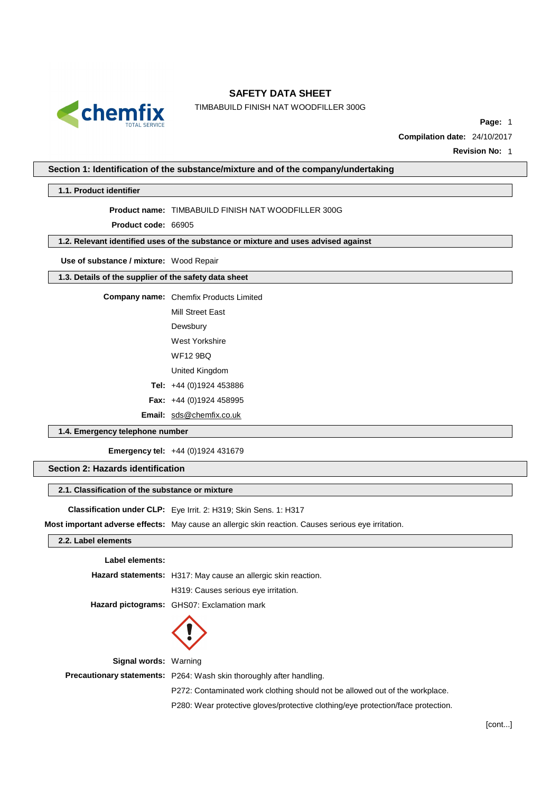

TIMBABUILD FINISH NAT WOODFILLER 300G

**Page:** 1

**Compilation date:** 24/10/2017

**Revision No:** 1

### **Section 1: Identification of the substance/mixture and of the company/undertaking**

### **1.1. Product identifier**

**Product name:** TIMBABUILD FINISH NAT WOODFILLER 300G

**Product code:** 66905

### **1.2. Relevant identified uses of the substance or mixture and uses advised against**

**Use of substance / mixture:** Wood Repair

#### **1.3. Details of the supplier of the safety data sheet**

**Company name:** Chemfix Products Limited

Mill Street East Dewsbury

West Yorkshire

WF12 9BQ

United Kingdom

**Tel:** +44 (0)1924 453886

**Fax:** +44 (0)1924 458995

**Email:** [sds@chemfix.co.uk](mailto:sds@chemfix.co.uk)

### **1.4. Emergency telephone number**

**Emergency tel:** +44 (0)1924 431679

# **Section 2: Hazards identification**

### **2.1. Classification of the substance or mixture**

**Classification under CLP:** Eye Irrit. 2: H319; Skin Sens. 1: H317

**Most important adverse effects:** May cause an allergic skin reaction. Causes serious eye irritation.

### **2.2. Label elements**

| Label elements: |  |
|-----------------|--|
|                 |  |

|  | Hazard statements: H317: May cause an allergic skin reaction. |
|--|---------------------------------------------------------------|
|  |                                                               |

H319: Causes serious eye irritation.

**Hazard pictograms:** GHS07: Exclamation mark



**Signal words:** Warning

**Precautionary statements:** P264: Wash skin thoroughly after handling.

P272: Contaminated work clothing should not be allowed out of the workplace.

P280: Wear protective gloves/protective clothing/eye protection/face protection.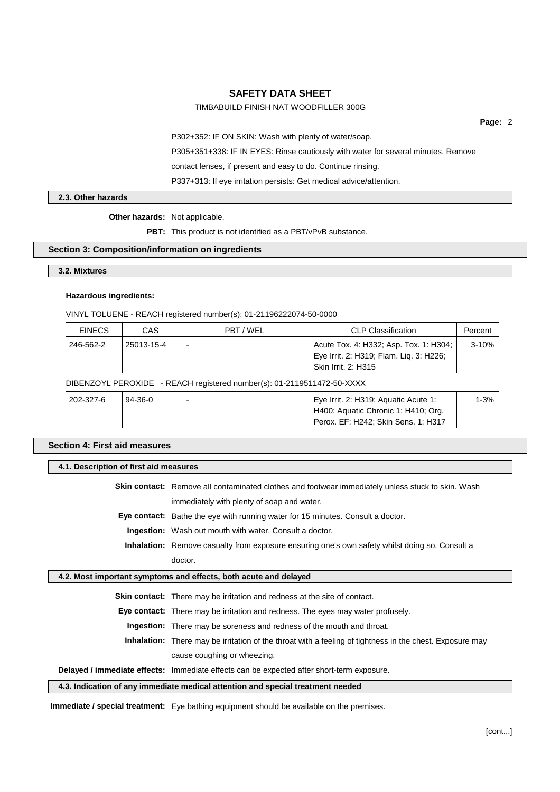### TIMBABUILD FINISH NAT WOODFILLER 300G

**Page:** 2

P302+352: IF ON SKIN: Wash with plenty of water/soap.

P305+351+338: IF IN EYES: Rinse cautiously with water for several minutes. Remove

contact lenses, if present and easy to do. Continue rinsing.

P337+313: If eye irritation persists: Get medical advice/attention.

**2.3. Other hazards**

#### **Other hazards:** Not applicable.

**PBT:** This product is not identified as a PBT/vPvB substance.

### **Section 3: Composition/information on ingredients**

### **3.2. Mixtures**

#### **Hazardous ingredients:**

VINYL TOLUENE - REACH registered number(s): 01-21196222074-50-0000

| <b>EINECS</b>                                                          | CAS        | PBT/WEL | <b>CLP Classification</b>               | Percent |  |
|------------------------------------------------------------------------|------------|---------|-----------------------------------------|---------|--|
| 246-562-2                                                              | 25013-15-4 |         | Acute Tox. 4: H332; Asp. Tox. 1: H304;  | $3-10%$ |  |
|                                                                        |            |         | Eye Irrit. 2: H319; Flam. Liq. 3: H226; |         |  |
|                                                                        |            |         | Skin Irrit. 2: H315                     |         |  |
| DIBENZOYL PEROXIDE - REACH registered number(s): 01-2119511472-50-XXXX |            |         |                                         |         |  |
|                                                                        |            |         |                                         |         |  |

| 202-327-6 | $94-36-0$ | Eye Irrit. 2: H319; Aquatic Acute 1: |                                     | $1 - 3%$ |
|-----------|-----------|--------------------------------------|-------------------------------------|----------|
|           |           |                                      | H400; Aquatic Chronic 1: H410; Org. |          |
|           |           |                                      | Perox, EF: H242: Skin Sens, 1: H317 |          |

### **Section 4: First aid measures**

#### **4.1. Description of first aid measures**

**Skin contact:** Remove all contaminated clothes and footwear immediately unless stuck to skin. Wash immediately with plenty of soap and water.

**Eye contact:** Bathe the eye with running water for 15 minutes. Consult a doctor.

**Ingestion:** Wash out mouth with water. Consult a doctor.

**Inhalation:** Remove casualty from exposure ensuring one's own safety whilst doing so. Consult a doctor.

### **4.2. Most important symptoms and effects, both acute and delayed**

**Skin contact:** There may be irritation and redness at the site of contact.

**Eye contact:** There may be irritation and redness. The eyes may water profusely.

**Ingestion:** There may be soreness and redness of the mouth and throat.

**Inhalation:** There may be irritation of the throat with a feeling of tightness in the chest. Exposure may cause coughing or wheezing.

**Delayed / immediate effects:** Immediate effects can be expected after short-term exposure.

**4.3. Indication of any immediate medical attention and special treatment needed**

**Immediate / special treatment:** Eye bathing equipment should be available on the premises.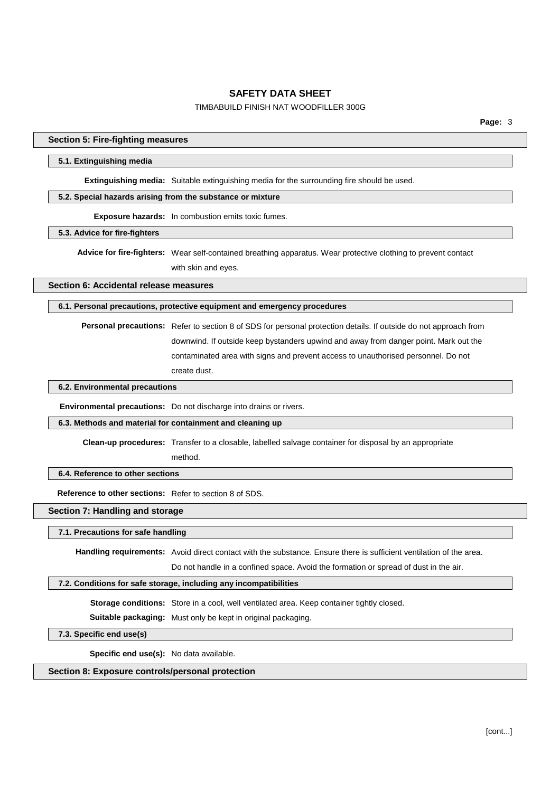#### TIMBABUILD FINISH NAT WOODFILLER 300G

#### **Section 5: Fire-fighting measures**

#### **5.1. Extinguishing media**

**Extinguishing media:** Suitable extinguishing media for the surrounding fire should be used.

### **5.2. Special hazards arising from the substance or mixture**

**Exposure hazards:** In combustion emits toxic fumes.

#### **5.3. Advice for fire-fighters**

**Advice for fire-fighters:** Wear self-contained breathing apparatus. Wear protective clothing to prevent contact with skin and eyes.

#### **Section 6: Accidental release measures**

### **6.1. Personal precautions, protective equipment and emergency procedures**

**Personal precautions:** Refer to section 8 of SDS for personal protection details. If outside do not approach from downwind. If outside keep bystanders upwind and away from danger point. Mark out the contaminated area with signs and prevent access to unauthorised personnel. Do not create dust.

#### **6.2. Environmental precautions**

**Environmental precautions:** Do not discharge into drains or rivers.

#### **6.3. Methods and material for containment and cleaning up**

**Clean-up procedures:** Transfer to a closable, labelled salvage container for disposal by an appropriate

method.

### **6.4. Reference to other sections**

**Reference to other sections:** Refer to section 8 of SDS.

# **Section 7: Handling and storage**

### **7.1. Precautions for safe handling**

**Handling requirements:** Avoid direct contact with the substance. Ensure there is sufficient ventilation of the area.

Do not handle in a confined space. Avoid the formation or spread of dust in the air.

### **7.2. Conditions for safe storage, including any incompatibilities**

**Storage conditions:** Store in a cool, well ventilated area. Keep container tightly closed.

**Suitable packaging:** Must only be kept in original packaging.

**7.3. Specific end use(s)**

**Specific end use(s):** No data available.

# **Section 8: Exposure controls/personal protection**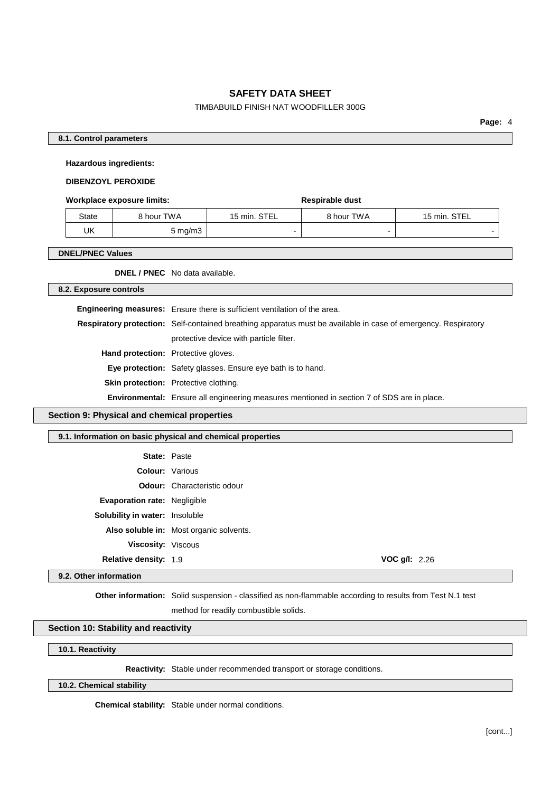### TIMBABUILD FINISH NAT WOODFILLER 300G

**Page:** 4

### **8.1. Control parameters**

**Hazardous ingredients:**

### **DIBENZOYL PEROXIDE**

#### **Workplace exposure limits: Respirable** dust

| State | 8 hour TWA | 15 min. STEL | 8 hour TWA | 15 min. STEL |
|-------|------------|--------------|------------|--------------|
| UK    | 5 mg/m3    |              |            |              |

#### **DNEL/PNEC Values**

**DNEL / PNEC** No data available.

#### **8.2. Exposure controls**

|                                     | Engineering measures: Ensure there is sufficient ventilation of the area.                                             |  |
|-------------------------------------|-----------------------------------------------------------------------------------------------------------------------|--|
|                                     | <b>Respiratory protection:</b> Self-contained breathing apparatus must be available in case of emergency. Respiratory |  |
|                                     | protective device with particle filter.                                                                               |  |
| Hand protection: Protective gloves. |                                                                                                                       |  |
|                                     | <b>Eye protection:</b> Safety glasses. Ensure eye bath is to hand.                                                    |  |
|                                     | <b>Skin protection:</b> Protective clothing.                                                                          |  |
|                                     | Environmental: Ensure all engineering measures mentioned in section 7 of SDS are in place.                            |  |

### **Section 9: Physical and chemical properties**

# **9.1. Information on basic physical and chemical properties**

| <b>State: Paste</b>                   |                                         |
|---------------------------------------|-----------------------------------------|
| <b>Colour: Various</b>                |                                         |
|                                       | <b>Odour:</b> Characteristic odour      |
| <b>Evaporation rate: Negligible</b>   |                                         |
| <b>Solubility in water:</b> Insoluble |                                         |
|                                       | Also soluble in: Most organic solvents. |
| <b>Viscosity: Viscous</b>             |                                         |
| <b>Relative density: 1.9</b>          | <b>VOC g/l:</b> $2.26$                  |
|                                       |                                         |

### **9.2. Other information**

**Other information:** Solid suspension - classified as non-flammable according to results from Test N.1 test

method for readily combustible solids.

### **Section 10: Stability and reactivity**

**10.1. Reactivity**

**Reactivity:** Stable under recommended transport or storage conditions.

## **10.2. Chemical stability**

**Chemical stability:** Stable under normal conditions.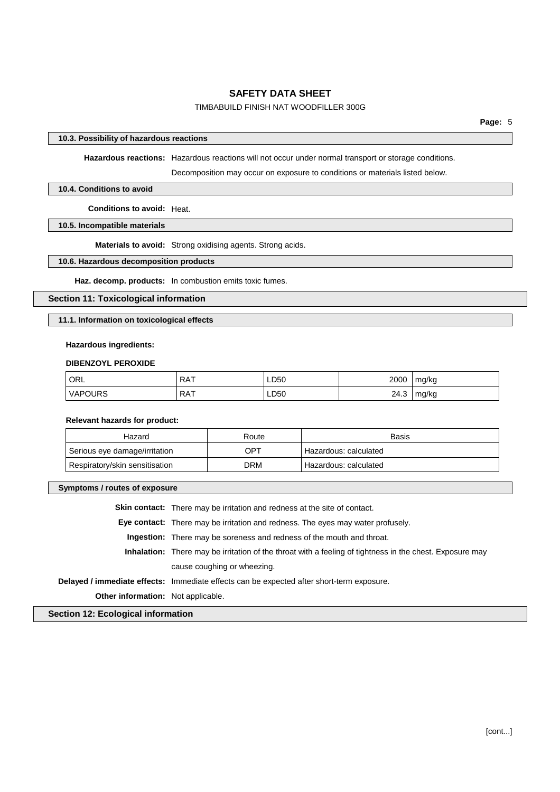### TIMBABUILD FINISH NAT WOODFILLER 300G

### **10.3. Possibility of hazardous reactions**

**Hazardous reactions:** Hazardous reactions will not occur under normal transport or storage conditions.

Decomposition may occur on exposure to conditions or materials listed below.

#### **10.4. Conditions to avoid**

**Conditions to avoid:** Heat.

**10.5. Incompatible materials**

**Materials to avoid:** Strong oxidising agents. Strong acids.

### **10.6. Hazardous decomposition products**

**Haz. decomp. products:** In combustion emits toxic fumes.

### **Section 11: Toxicological information**

### **11.1. Information on toxicological effects**

#### **Hazardous ingredients:**

#### **DIBENZOYL PEROXIDE**

| <b>ORL</b>     | <b>RAT</b> | LD50 | 2000 | mg/kg |
|----------------|------------|------|------|-------|
| <b>VAPOURS</b> | <b>RAT</b> | LD50 | 24.3 | mg/kg |

#### **Relevant hazards for product:**

| Hazard                         | Route | <b>Basis</b>            |
|--------------------------------|-------|-------------------------|
| Serious eye damage/irritation  | OP1   | ' Hazardous: calculated |
| Respiratory/skin sensitisation | DRM   | Hazardous: calculated   |

### **Symptoms / routes of exposure**

|                                           | <b>Skin contact:</b> There may be irritation and redness at the site of contact.                                |  |
|-------------------------------------------|-----------------------------------------------------------------------------------------------------------------|--|
|                                           | <b>Eye contact:</b> There may be irritation and redness. The eyes may water profusely.                          |  |
|                                           | <b>Ingestion:</b> There may be soreness and redness of the mouth and throat.                                    |  |
|                                           | <b>Inhalation:</b> There may be irritation of the throat with a feeling of tightness in the chest. Exposure may |  |
|                                           | cause coughing or wheezing.                                                                                     |  |
|                                           | Delayed / immediate effects: Immediate effects can be expected after short-term exposure.                       |  |
| <b>Other information:</b> Not applicable. |                                                                                                                 |  |
|                                           |                                                                                                                 |  |

**Section 12: Ecological information**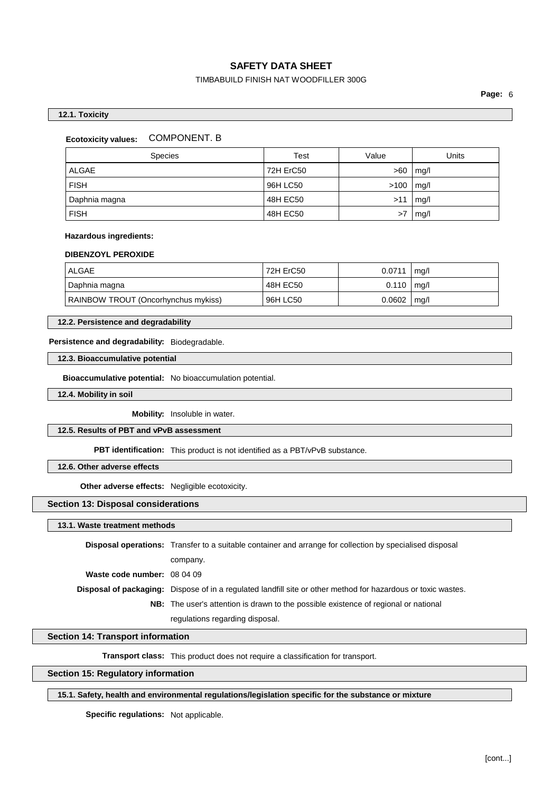### TIMBABUILD FINISH NAT WOODFILLER 300G

**Page:** 6

#### **12.1. Toxicity**

#### **Ecotoxicity values:** COMPONENT. B

| <b>Species</b> | Test      | Value | Units |
|----------------|-----------|-------|-------|
| <b>ALGAE</b>   | 72H ErC50 | >60   | mq/l  |
| <b>FISH</b>    | 96H LC50  | >100  | mq/l  |
| Daphnia magna  | 48H EC50  | >11   | mq/l  |
| <b>FISH</b>    | 48H EC50  | >7    | mg/l  |

#### **Hazardous ingredients:**

#### **DIBENZOYL PEROXIDE**

| ALGAE                               | 72H ErC50 | 0.0711         | ma/l |
|-------------------------------------|-----------|----------------|------|
| Daphnia magna                       | 48H EC50  | $0.110$   mg/l |      |
| RAINBOW TROUT (Oncorhynchus mykiss) | 96H LC50  | 0.0602         | mq/l |

#### **12.2. Persistence and degradability**

**Persistence and degradability:** Biodegradable.

**12.3. Bioaccumulative potential**

**Bioaccumulative potential:** No bioaccumulation potential.

**12.4. Mobility in soil**

**Mobility:** Insoluble in water.

#### **12.5. Results of PBT and vPvB assessment**

**PBT identification:** This product is not identified as a PBT/vPvB substance.

#### **12.6. Other adverse effects**

**Other adverse effects:** Negligible ecotoxicity.

#### **Section 13: Disposal considerations**

**13.1. Waste treatment methods**

|                             | <b>Disposal operations:</b> Transfer to a suitable container and arrange for collection by specialised disposal      |
|-----------------------------|----------------------------------------------------------------------------------------------------------------------|
|                             | company.                                                                                                             |
| Waste code number: 08 04 09 |                                                                                                                      |
|                             | <b>Disposal of packaging:</b> Dispose of in a regulated landfill site or other method for hazardous or toxic wastes. |
|                             | <b>NB:</b> The user's attention is drawn to the possible existence of regional or national                           |
|                             | regulations regarding disposal.                                                                                      |

#### **Section 14: Transport information**

**Transport class:** This product does not require a classification for transport.

### **Section 15: Regulatory information**

### **15.1. Safety, health and environmental regulations/legislation specific for the substance or mixture**

**Specific regulations:** Not applicable.